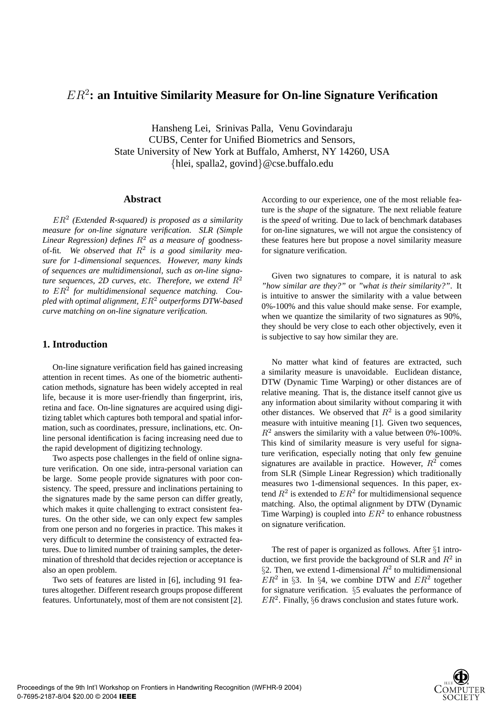# ER<sup>2</sup>**: an Intuitive Similarity Measure for On-line Signature Verification**

Hansheng Lei, Srinivas Palla, Venu Govindaraju CUBS, Center for Unified Biometrics and Sensors, State University of New York at Buffalo, Amherst, NY 14260, USA {hlei, spalla2, govind}@cse.buffalo.edu

#### **Abstract**

ER<sup>2</sup> *(Extended R-squared) is proposed as a similarity measure for on-line signature verification. SLR (Simple Linear Regression) defines*  $R^2$  *as a measure of goodness*of-fit*. We observed that* R<sup>2</sup> *is a good similarity measure for 1-dimensional sequences. However, many kinds of sequences are multidimensional, such as on-line signature sequences, 2D curves, etc. Therefore, we extend*  $R^2$ *to* ER<sup>2</sup> *for multidimensional sequence matching. Coupled with optimal alignment,* ER<sup>2</sup> *outperforms DTW-based curve matching on on-line signature verification.*

### **1. Introduction**

On-line signature verification field has gained increasing attention in recent times. As one of the biometric authentication methods, signature has been widely accepted in real life, because it is more user-friendly than fingerprint, iris, retina and face. On-line signatures are acquired using digitizing tablet which captures both temporal and spatial information, such as coordinates, pressure, inclinations, etc. Online personal identification is facing increasing need due to the rapid development of digitizing technology.

Two aspects pose challenges in the field of online signature verification. On one side, intra-personal variation can be large. Some people provide signatures with poor consistency. The speed, pressure and inclinations pertaining to the signatures made by the same person can differ greatly, which makes it quite challenging to extract consistent features. On the other side, we can only expect few samples from one person and no forgeries in practice. This makes it very difficult to determine the consistency of extracted features. Due to limited number of training samples, the determination of threshold that decides rejection or acceptance is also an open problem.

Two sets of features are listed in [6], including 91 features altogether. Different research groups propose different features. Unfortunately, most of them are not consistent [2]. According to our experience, one of the most reliable feature is the *shape* of the signature. The next reliable feature is the *speed* of writing. Due to lack of benchmark databases for on-line signatures, we will not argue the consistency of these features here but propose a novel similarity measure for signature verification.

Given two signatures to compare, it is natural to ask *"how similar are they?"* or *"what is their similarity?"*. It is intuitive to answer the similarity with a value between 0%-100% and this value should make sense. For example, when we quantize the similarity of two signatures as 90%, they should be very close to each other objectively, even it is subjective to say how similar they are.

No matter what kind of features are extracted, such a similarity measure is unavoidable. Euclidean distance, DTW (Dynamic Time Warping) or other distances are of relative meaning. That is, the distance itself cannot give us any information about similarity without comparing it with other distances. We observed that  $R^2$  is a good similarity measure with intuitive meaning [1]. Given two sequences,  $R<sup>2</sup>$  answers the similarity with a value between 0%-100%. This kind of similarity measure is very useful for signature verification, especially noting that only few genuine signatures are available in practice. However,  $R^2$  comes from SLR (Simple Linear Regression) which traditionally measures two 1-dimensional sequences. In this paper, extend  $R^2$  is extended to  $ER^2$  for multidimensional sequence matching. Also, the optimal alignment by DTW (Dynamic Time Warping) is coupled into  $ER^2$  to enhance robustness on signature verification.

The rest of paper is organized as follows. After §1 introduction, we first provide the background of SLR and  $R^2$  in §2. Then, we extend 1-dimensional  $R^2$  to multidimensional  $ER<sup>2</sup>$  in §3. In §4, we combine DTW and  $ER<sup>2</sup>$  together for signature verification. §5 evaluates the performance of  $ER<sup>2</sup>$ . Finally, §6 draws conclusion and states future work.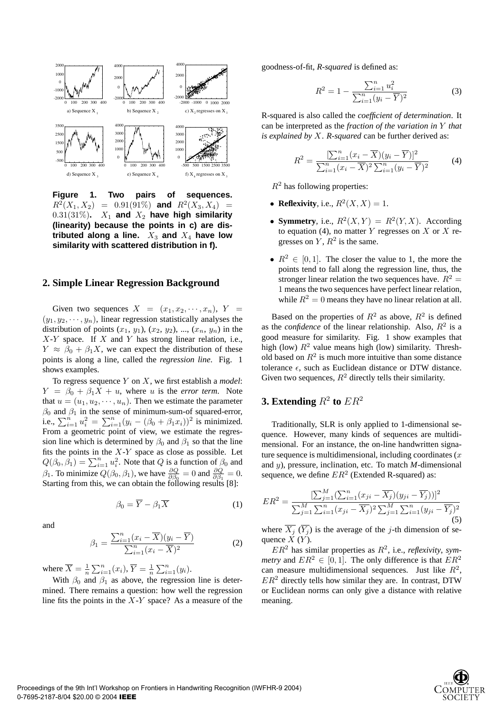

**Figure 1. Two pairs of sequences.**  $R^2(X_1, X_2) = 0.91(91\%)$  and  $R^2(X_3, X_4) =$  $0.31(31\%)$ .  $X_1$  and  $X_2$  have high similarity **(linearity) because the points in c) are dis**tributed along a line.  $X_3$  and  $X_4$  have low **similarity with scattered distribution in f).**

### **2. Simple Linear Regression Background**

Given two sequences  $X = (x_1, x_2, \dots, x_n), Y =$  $(y_1, y_2, \dots, y_n)$ , linear regression statistically analyses the distribution of points  $(x_1, y_1)$ ,  $(x_2, y_2)$ , ...,  $(x_n, y_n)$  in the  $X-Y$  space. If X and Y has strong linear relation, i.e.,  $Y \approx \beta_0 + \beta_1 X$ , we can expect the distribution of these points is along a line, called the *regression line*. Fig. 1 shows examples.

To regress sequence Y on X, we first establish a *model*:  $Y = \beta_0 + \beta_1 X + u$ , where u is the *error term*. Note that  $u = (u_1, u_2, \dots, u_n)$ . Then we estimate the parameter  $\beta_0$  and  $\beta_1$  in the sense of minimum-sum-of squared-error,  $\hat{p}_0$  and  $\hat{p}_1$  in the sense of minimum-sum-of squared-error,<br>i.e.,  $\sum_{i=1}^n u_i^2 = \sum_{i=1}^n (y_i - (\beta_0 + \beta_1 x_i))^2$  is minimized. From a geometric point of view, we estimate the regression line which is determined by  $\beta_0$  and  $\beta_1$  so that the line fits the points in the  $X-Y$  space as close as possible. Let its the points in the  $X$ -*r* space as close as possible. Let  $Q(\beta_0, \beta_1) = \sum_{i=1}^n u_i^2$ . Note that Q is a function of  $\beta_0$  and  $\beta_1$ . To minimize  $Q(\beta_0, \beta_1)$ , we have  $\frac{\partial Q}{\partial \beta_0} = 0$  and  $\frac{\partial Q}{\partial \beta_1} = 0$ . Starting from this, we can obtain the following results [8]:

$$
\beta_0 = \overline{Y} - \beta_1 \overline{X} \tag{1}
$$

and

$$
\beta_1 = \frac{\sum_{i=1}^n (x_i - \overline{X})(y_i - \overline{Y})}{\sum_{i=1}^n (x_i - \overline{X})^2}
$$
(2)

where  $\overline{X} = \frac{1}{n}$  $\sum_{i=1}^{n}(x_i), \overline{Y}=\frac{1}{n}$  $\sum_{i=1}^n (y_i)$ .

With  $\beta_0$  and  $\beta_1$  as above, the regression line is determined. There remains a question: how well the regression line fits the points in the  $X-Y$  space? As a measure of the goodness-of-fit, *R-squared* is defined as:

$$
R^{2} = 1 - \frac{\sum_{i=1}^{n} u_{i}^{2}}{\sum_{i=1}^{n} (y_{i} - \overline{Y})^{2}}
$$
(3)

R-squared is also called the *coefficient of determination*. It can be interpreted as the *fraction of the variation in* Y *that is explained by* X. *R-squared* can be further derived as:

$$
R^{2} = \frac{\left[\sum_{i=1}^{n} (x_{i} - \overline{X})(y_{i} - \overline{Y})\right]^{2}}{\sum_{i=1}^{n} (x_{i} - \overline{X})^{2} \sum_{i=1}^{n} (y_{i} - \overline{Y})^{2}}
$$
(4)

 $R<sup>2</sup>$  has following properties:

- **Reflexivity**, i.e.,  $R^2(X, X) = 1$ .
- **Symmetry**, i.e.,  $R^2(X, Y) = R^2(Y, X)$ . According to equation (4), no matter Y regresses on X or X regresses on  $Y$ ,  $R^2$  is the same.
- $R^2 \in [0, 1]$ . The closer the value to 1, the more the points tend to fall along the regression line, thus, the stronger linear relation the two sequences have.  $R^2 =$ 1 means the two sequences have perfect linear relation, while  $R^2 = 0$  means they have no linear relation at all.

Based on the properties of  $R^2$  as above,  $R^2$  is defined as the *confidence* of the linear relationship. Also,  $R^2$  is a good measure for similarity. Fig. 1 show examples that high (low)  $R^2$  value means high (low) similarity. Threshold based on  $R<sup>2</sup>$  is much more intuitive than some distance tolerance  $\epsilon$ , such as Euclidean distance or DTW distance. Given two sequences,  $R^2$  directly tells their similarity.

# **3. Extending**  $R^2$  to  $ER^2$

Traditionally, SLR is only applied to 1-dimensional sequence. However, many kinds of sequences are multidimensional. For an instance, the on-line handwritten signature sequence is multidimensional, including coordinates  $(x)$ and y), pressure, inclination, etc. To match *M*-dimensional sequence, we define  $ER^2$  (Extended R-squared) as:

$$
ER^{2} = \frac{\left[\sum_{j=1}^{M}(\sum_{i=1}^{n}(x_{ji} - \overline{X_{j}})(y_{ji} - \overline{Y_{j}}))\right]^{2}}{\sum_{j=1}^{M}\sum_{i=1}^{n}(x_{ji} - \overline{X_{j}})^{2}\sum_{j=1}^{M}\sum_{i=1}^{n}(y_{ji} - \overline{Y_{j}})^{2}}
$$
\n(5)

where  $\overline{X_i}(\overline{Y_i})$  is the average of the *j*-th dimension of sequence  $\check{X}(Y)$ .

 $ER<sup>2</sup>$  has similar properties as  $R<sup>2</sup>$ , i.e., *reflexivity*, *symmetry* and  $ER^2 \in [0, 1]$ . The only difference is that  $ER^2$ can measure multidimensional sequences. Just like  $R^2$ ,  $ER<sup>2</sup>$  directly tells how similar they are. In contrast, DTW or Euclidean norms can only give a distance with relative meaning.

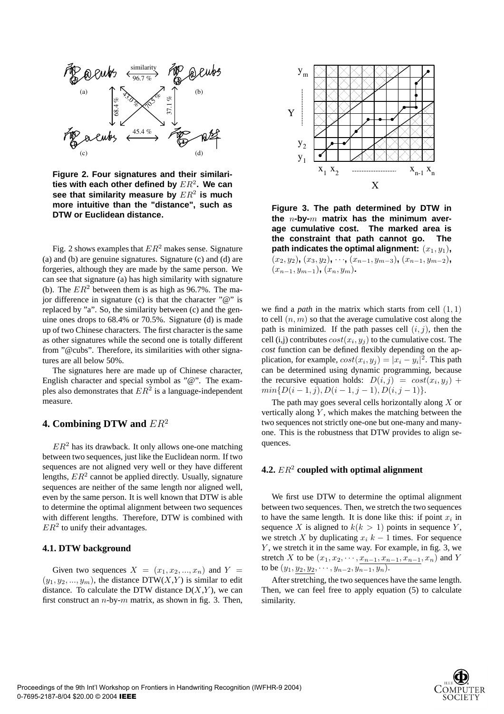

**Figure 2. Four signatures and their similarities with each other defined by** ER<sup>2</sup>**. We can see that similarity measure by** ER<sup>2</sup> **is much more intuitive than the "distance", such as DTW or Euclidean distance.**

Fig. 2 shows examples that  $ER^2$  makes sense. Signature (a) and (b) are genuine signatures. Signature (c) and (d) are forgeries, although they are made by the same person. We can see that signature (a) has high similarity with signature (b). The  $ER^2$  between them is as high as 96.7%. The major difference in signature (c) is that the character " $@$ " is replaced by "a". So, the similarity between (c) and the genuine ones drops to 68.4% or 70.5%. Signature (d) is made up of two Chinese characters. The first character is the same as other signatures while the second one is totally different from "@cubs". Therefore, its similarities with other signatures are all below 50%.

The signatures here are made up of Chinese character, English character and special symbol as "@". The examples also demonstrates that  $ER^2$  is a language-independent measure.

# **4. Combining DTW and** ER<sup>2</sup>

 $ER<sup>2</sup>$  has its drawback. It only allows one-one matching between two sequences, just like the Euclidean norm. If two sequences are not aligned very well or they have different lengths,  $ER<sup>2</sup>$  cannot be applied directly. Usually, signature sequences are neither of the same length nor aligned well, even by the same person. It is well known that DTW is able to determine the optimal alignment between two sequences with different lengths. Therefore, DTW is combined with  $ER<sup>2</sup>$  to unify their advantages.

#### **4.1. DTW background**

Given two sequences  $X = (x_1, x_2, ..., x_n)$  and  $Y =$  $(y_1, y_2, ..., y_m)$ , the distance DTW(X,Y) is similar to edit distance. To calculate the DTW distance  $D(X, Y)$ , we can first construct an  $n$ -by- $m$  matrix, as shown in fig. 3. Then,



**Figure 3. The path determined by DTW in the** n**-by-**m **matrix has the minimum average cumulative cost. The marked area is the constraint that path cannot go. The path indicates the optimal alignment:**  $(x_1, y_1)$ ,  $(x_2, y_2)$ ,  $(x_3, y_2)$ ,  $\cdots$ ,  $(x_{n-1}, y_{m-3})$ ,  $(x_{n-1}, y_{m-2})$ ,  $(x_{n-1}, y_{m-1})$ ,  $(x_n, y_m)$ .

we find a *path* in the matrix which starts from cell  $(1, 1)$ to cell  $(n, m)$  so that the average cumulative cost along the path is minimized. If the path passes cell  $(i, j)$ , then the cell (i,j) contributes  $cost(x_i, y_i)$  to the cumulative cost. The *cost* function can be defined flexibly depending on the application, for example,  $cost(x_i, y_j) = |x_i - y_i|^2$ . This path can be determined using dynamic programming, because the recursive equation holds:  $D(i, j) = cost(x_i, y_j) +$  $min\{D(i-1,j), D(i-1,j-1), D(i,j-1)\}.$ 

The path may goes several cells horizontally along  $X$  or vertically along  $Y$ , which makes the matching between the two sequences not strictly one-one but one-many and manyone. This is the robustness that DTW provides to align sequences.

#### **4.2.** ER<sup>2</sup> **coupled with optimal alignment**

We first use DTW to determine the optimal alignment between two sequences. Then, we stretch the two sequences to have the same length. It is done like this: if point  $x_i$  in sequence X is aligned to  $k(k > 1)$  points in sequence Y, we stretch X by duplicating  $x_i$  k – 1 times. For sequence  $Y$ , we stretch it in the same way. For example, in fig. 3, we stretch X to be  $(x_1, x_2, \dots, \underline{x_{n-1}, x_{n-1}, x_{n-1}, x_n)$  and Y to be  $(y_1, \underline{y_2}, \underline{y_2}, \cdots, y_{n-2}, y_{n-1}, y_n).$ 

After stretching, the two sequences have the same length. Then, we can feel free to apply equation (5) to calculate similarity.

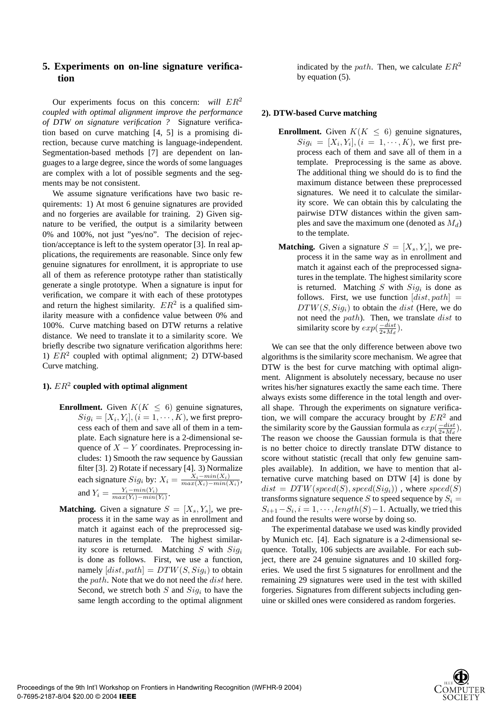# **5. Experiments on on-line signature verification**

Our experiments focus on this concern: *will*  $ER^2$ *coupled with optimal alignment improve the performance of DTW on signature verification ?* Signature verification based on curve matching [4, 5] is a promising direction, because curve matching is language-independent. Segmentation-based methods [7] are dependent on languages to a large degree, since the words of some languages are complex with a lot of possible segments and the segments may be not consistent.

We assume signature verifications have two basic requirements: 1) At most 6 genuine signatures are provided and no forgeries are available for training. 2) Given signature to be verified, the output is a similarity between 0% and 100%, not just "yes/no". The decision of rejection/acceptance is left to the system operator [3]. In real applications, the requirements are reasonable. Since only few genuine signatures for enrollment, it is appropriate to use all of them as reference prototype rather than statistically generate a single prototype. When a signature is input for verification, we compare it with each of these prototypes and return the highest similarity.  $ER^2$  is a qualified similarity measure with a confidence value between 0% and 100%. Curve matching based on DTW returns a relative distance. We need to translate it to a similarity score. We briefly describe two signature verification algorithms here: 1)  $ER<sup>2</sup>$  coupled with optimal alignment; 2) DTW-based Curve matching.

## **1).** ER<sup>2</sup> **coupled with optimal alignment**

- **Enrollment.** Given  $K(K \leq 6)$  genuine signatures,  $Sig_i = [X_i, Y_i], (i = 1, \cdots, K)$ , we first preprocess each of them and save all of them in a template. Each signature here is a 2-dimensional sequence of  $X - Y$  coordinates. Preprocessing includes: 1) Smooth the raw sequence by Gaussian filter [3]. 2) Rotate if necessary [4]. 3) Normalize each signature  $Sig_i$  by:  $X_i = \frac{X_i - min(X_i)}{max(X_i) - min(X_i)}$ , and  $Y_i = \frac{Y_i - min(Y_i)}{max(Y_i) - min(Y_i)}$ .
- **Matching.** Given a signature  $S = [X_s, Y_s]$ , we preprocess it in the same way as in enrollment and match it against each of the preprocessed signatures in the template. The highest similarity score is returned. Matching S with  $Sig_i$ is done as follows. First, we use a function, namely  $[dist, path] = DTW(S, Sig_i)$  to obtain the  $path$ . Note that we do not need the  $dist$  here. Second, we stretch both  $S$  and  $Sig_i$  to have the same length according to the optimal alignment

indicated by the path. Then, we calculate  $ER^2$ by equation (5).

#### **2). DTW-based Curve matching**

- **Enrollment.** Given  $K(K \leq 6)$  genuine signatures,  $Sig_i = [X_i, Y_i], (i = 1, \cdots, K)$ , we first preprocess each of them and save all of them in a template. Preprocessing is the same as above. The additional thing we should do is to find the maximum distance between these preprocessed signatures. We need it to calculate the similarity score. We can obtain this by calculating the pairwise DTW distances within the given samples and save the maximum one (denoted as  $M_d$ ) to the template.
- **Matching.** Given a signature  $S = [X_s, Y_s]$ , we preprocess it in the same way as in enrollment and match it against each of the preprocessed signatures in the template. The highest similarity score is returned. Matching  $S$  with  $Sig_i$  is done as follows. First, we use function  $dist, path$  =  $DTW(S, Siq<sub>i</sub>)$  to obtain the *dist* (Here, we do not need the path). Then, we translate dist to similarity score by  $exp(\frac{-dist}{2 * M_d})$ .

We can see that the only difference between above two algorithms is the similarity score mechanism. We agree that DTW is the best for curve matching with optimal alignment. Alignment is absolutely necessary, because no user writes his/her signatures exactly the same each time. There always exists some difference in the total length and overall shape. Through the experiments on signature verification, we will compare the accuracy brought by  $ER^2$  and the similarity score by the Gaussian formula as  $exp(\frac{-dist}{2*Md})$ . The reason we choose the Gaussian formula is that there is no better choice to directly translate DTW distance to score without statistic (recall that only few genuine samples available). In addition, we have to mention that alternative curve matching based on DTW [4] is done by  $dist = DTW(speed(S), speed(Sig_i))$ , where  $speed(S)$ transforms signature sequence S to speed sequence by  $S_i$  =  $S_{i+1}-S_i$ ,  $i=1,\dots$ , length(S) – 1. Actually, we tried this and found the results were worse by doing so.

The experimental database we used was kindly provided by Munich etc. [4]. Each signature is a 2-dimensional sequence. Totally, 106 subjects are available. For each subject, there are 24 genuine signatures and 10 skilled forgeries. We used the first 5 signatures for enrollment and the remaining 29 signatures were used in the test with skilled forgeries. Signatures from different subjects including genuine or skilled ones were considered as random forgeries.